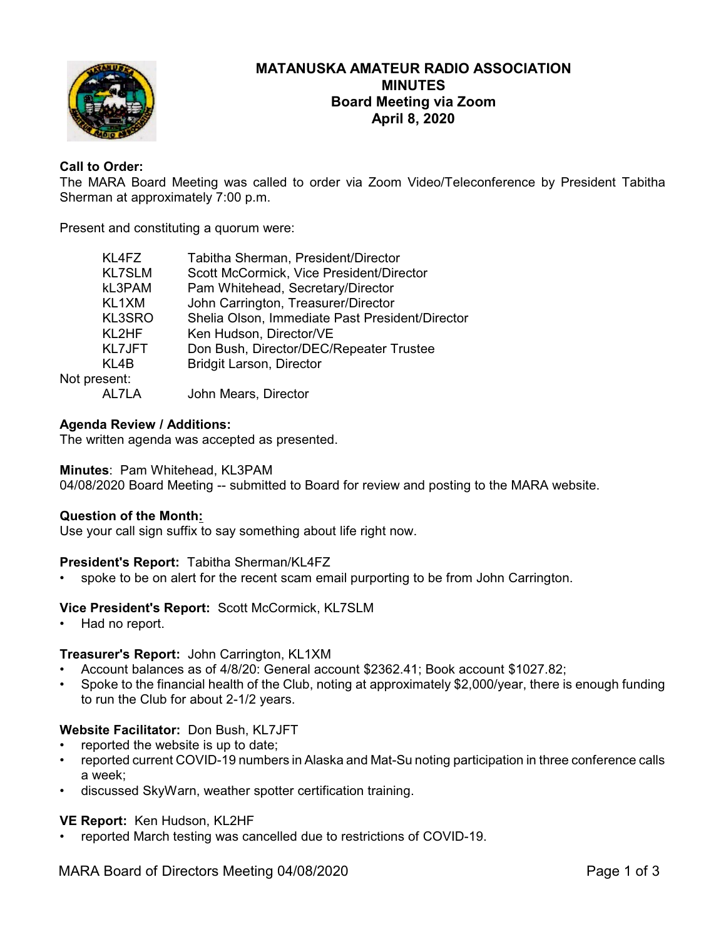

# **MATANUSKA AMATEUR RADIO ASSOCIATION MINUTES Board Meeting via Zoom April 8, 2020**

# **Call to Order:**

The MARA Board Meeting was called to order via Zoom Video/Teleconference by President Tabitha Sherman at approximately 7:00 p.m.

Present and constituting a quorum were:

| KL4FZ         | Tabitha Sherman, President/Director             |
|---------------|-------------------------------------------------|
| <b>KL7SLM</b> | Scott McCormick, Vice President/Director        |
| kL3PAM        | Pam Whitehead, Secretary/Director               |
| KL1XM         | John Carrington, Treasurer/Director             |
| <b>KL3SRO</b> | Shelia Olson, Immediate Past President/Director |
| KL2HF         | Ken Hudson, Director/VE                         |
| <b>KL7JFT</b> | Don Bush, Director/DEC/Repeater Trustee         |
| KL4B          | <b>Bridgit Larson, Director</b>                 |
| Not present:  |                                                 |
| AL7LA         | John Mears, Director                            |

# **Agenda Review / Additions:**

The written agenda was accepted as presented.

### **Minutes**: Pam Whitehead, KL3PAM

04/08/2020 Board Meeting -- submitted to Board for review and posting to the MARA website.

### **Question of the Month:**

Use your call sign suffix to say something about life right now.

### **President's Report:** Tabitha Sherman/KL4FZ

spoke to be on alert for the recent scam email purporting to be from John Carrington.

### **Vice President's Report:** Scott McCormick, KL7SLM

• Had no report.

### **Treasurer's Report:** John Carrington, KL1XM

- Account balances as of 4/8/20: General account \$2362.41; Book account \$1027.82;
- Spoke to the financial health of the Club, noting at approximately \$2,000/year, there is enough funding to run the Club for about 2-1/2 years.

### **Website Facilitator:** Don Bush, KL7JFT

- reported the website is up to date;
- reported current COVID-19 numbers in Alaska and Mat-Su noting participation in three conference calls a week;
- discussed SkyWarn, weather spotter certification training.

### **VE Report:** Ken Hudson, KL2HF

• reported March testing was cancelled due to restrictions of COVID-19.

MARA Board of Directors Meeting 04/08/2020 Page 1 of 3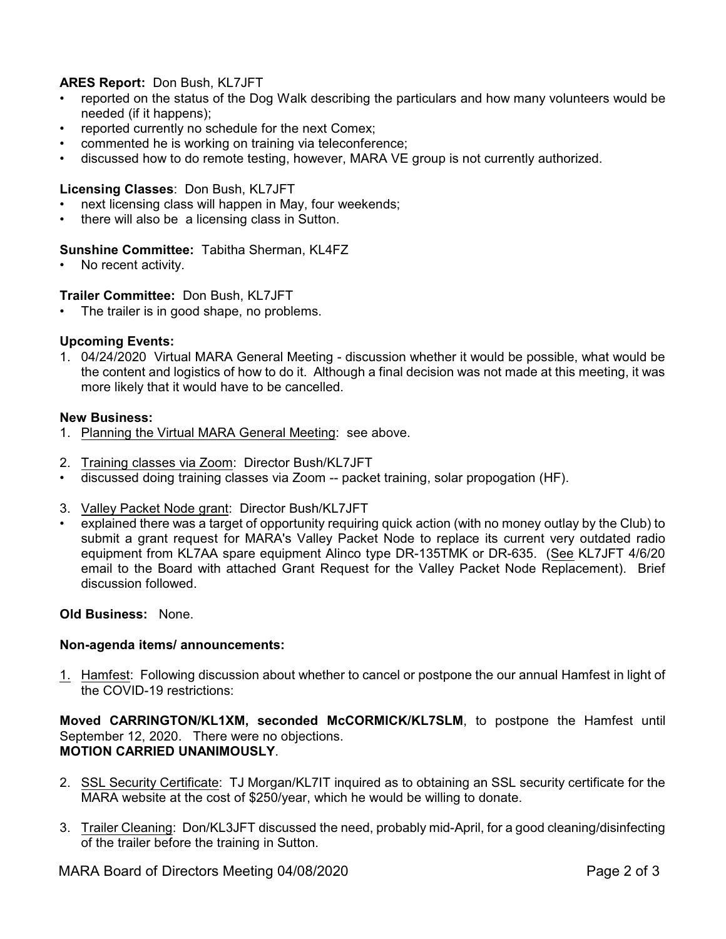# **ARES Report:** Don Bush, KL7JFT

- reported on the status of the Dog Walk describing the particulars and how many volunteers would be needed (if it happens);
- reported currently no schedule for the next Comex;
- commented he is working on training via teleconference;
- discussed how to do remote testing, however, MARA VE group is not currently authorized.

# **Licensing Classes**: Don Bush, KL7JFT

- next licensing class will happen in May, four weekends;
- there will also be a licensing class in Sutton.

# **Sunshine Committee:** Tabitha Sherman, KL4FZ

• No recent activity.

# **Trailer Committee:** Don Bush, KL7JFT

• The trailer is in good shape, no problems.

# **Upcoming Events:**

1. 04/24/2020 Virtual MARA General Meeting - discussion whether it would be possible, what would be the content and logistics of how to do it. Although a final decision was not made at this meeting, it was more likely that it would have to be cancelled.

### **New Business:**

- 1. Planning the Virtual MARA General Meeting: see above.
- 2. Training classes via Zoom: Director Bush/KL7JFT
- discussed doing training classes via Zoom -- packet training, solar propogation (HF).
- 3. Valley Packet Node grant: Director Bush/KL7JFT
- explained there was a target of opportunity requiring quick action (with no money outlay by the Club) to submit a grant request for MARA's Valley Packet Node to replace its current very outdated radio equipment from KL7AA spare equipment Alinco type DR-135TMK or DR-635. (See KL7JFT 4/6/20 email to the Board with attached Grant Request for the Valley Packet Node Replacement). Brief discussion followed.

### **Old Business:** None.

### **Non-agenda items/ announcements:**

1. Hamfest: Following discussion about whether to cancel or postpone the our annual Hamfest in light of the COVID-19 restrictions:

**Moved CARRINGTON/KL1XM, seconded McCORMICK/KL7SLM**, to postpone the Hamfest until September 12, 2020. There were no objections. **MOTION CARRIED UNANIMOUSLY**.

- 2. SSL Security Certificate: TJ Morgan/KL7IT inquired as to obtaining an SSL security certificate for the MARA website at the cost of \$250/year, which he would be willing to donate.
- 3. Trailer Cleaning: Don/KL3JFT discussed the need, probably mid-April, for a good cleaning/disinfecting of the trailer before the training in Sutton.

MARA Board of Directors Meeting 04/08/2020 **Page 2 of 3** Page 2 of 3